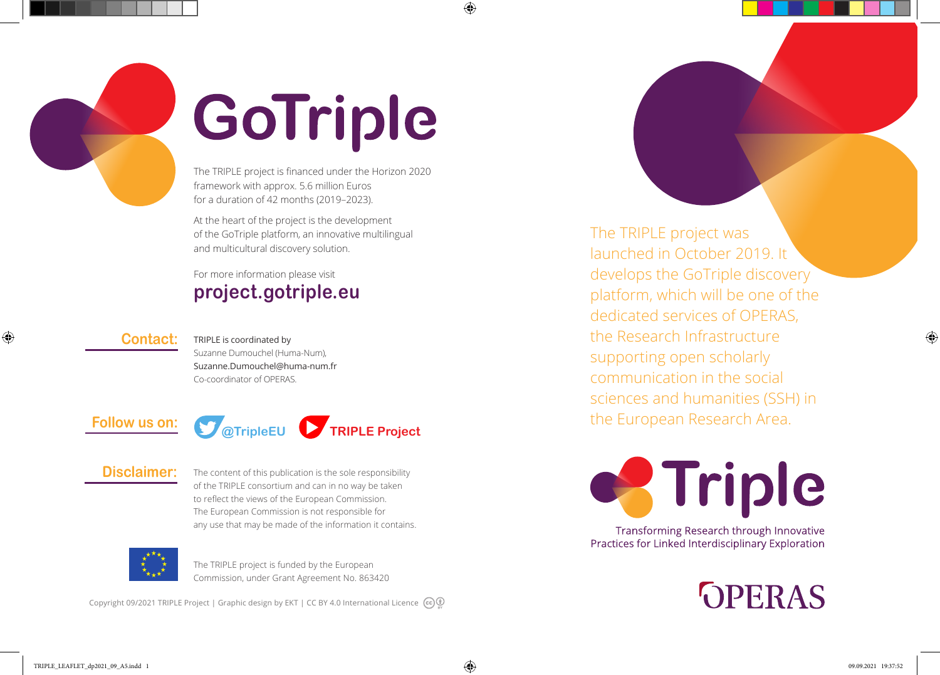

# GoTriple

 $\bigoplus$ 

The TRIPLE project is financed under the Horizon 2020 framework with approx. 5.6 million Euros for a duration of 42 months (2019–2023).

At the heart of the project is the development of the GoTriple platform, an innovative multilingual and multicultural discovery solution.

### For more information please visit **project.gotriple.eu**

#### **Contact:**

◈

TRIPLE is coordinated by Suzanne Dumouchel (Huma-Num), Suzanne.Dumouchel@huma-num.fr Co-coordinator of OPERAS.



#### **Disclaimer:**

The content of this publication is the sole responsibility of the TRIPLE consortium and can in no way be taken to reflect the views of the European Commission. The European Commission is not responsible for any use that may be made of the information it contains.



The TRIPLE project is funded by the European Commission, under Grant Agreement No. 863420

Copyright 09/2021 TRIPLE Project | Graphic design by EKT | CC BY 4.0 International Licence  $(G)$ 

The TRIPLE project was launched in October 2019. It develops the GoTriple discovery platform, which will be one of the dedicated services of OPERAS, the Research Infrastructure supporting open scholarly communication in the social sciences and humanities (SSH) in the European Research Area.



Transforming Research through Innovative Practices for Linked Interdisciplinary Exploration

**OPERAS** 

◈